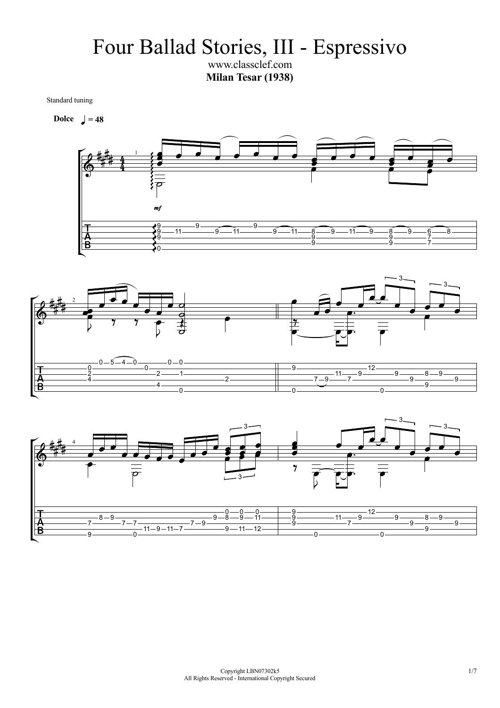## Four Ballad Stories, III - Espressivo

www.classclef.com **Milan Tesar (1938)** 

Standard tuning







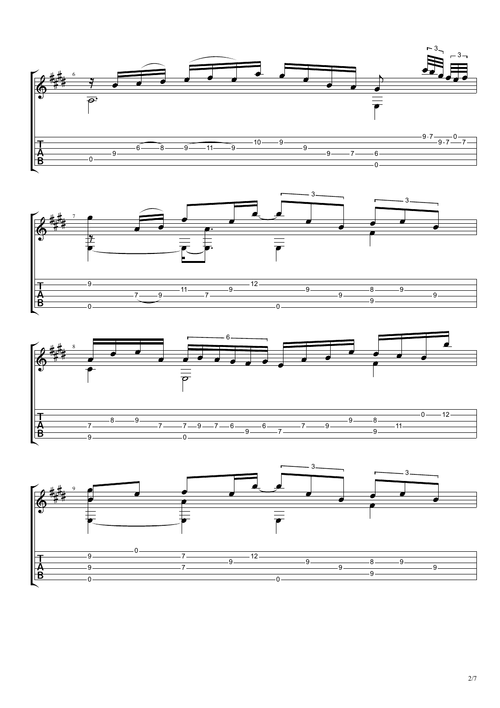





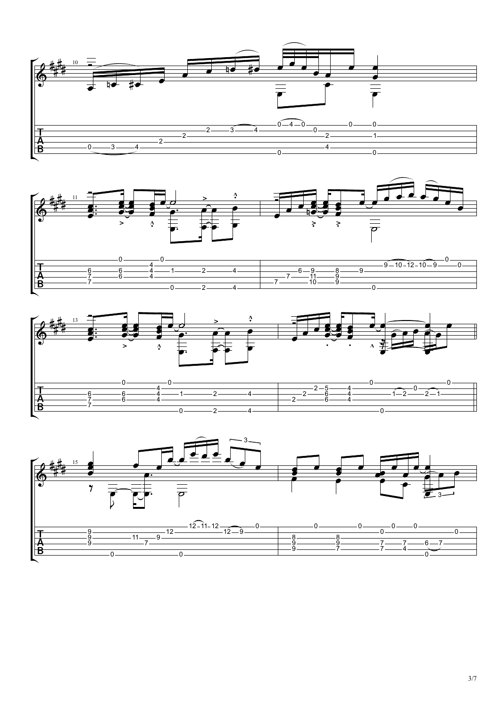![](_page_2_Figure_0.jpeg)

![](_page_2_Figure_1.jpeg)

![](_page_2_Figure_2.jpeg)

![](_page_2_Figure_3.jpeg)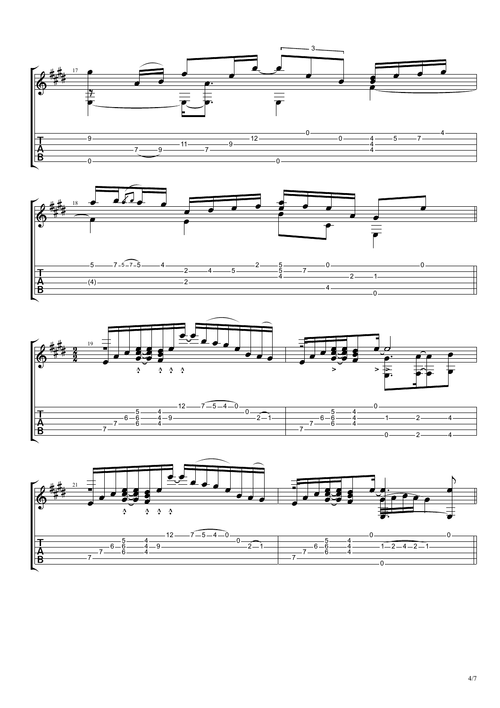![](_page_3_Figure_0.jpeg)

![](_page_3_Figure_1.jpeg)

![](_page_3_Figure_2.jpeg)

![](_page_3_Figure_3.jpeg)

4/7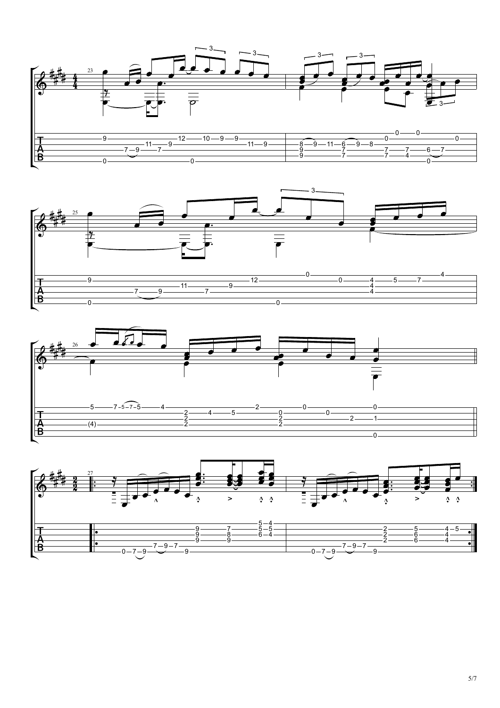![](_page_4_Figure_0.jpeg)

![](_page_4_Figure_1.jpeg)

![](_page_4_Figure_2.jpeg)

![](_page_4_Figure_3.jpeg)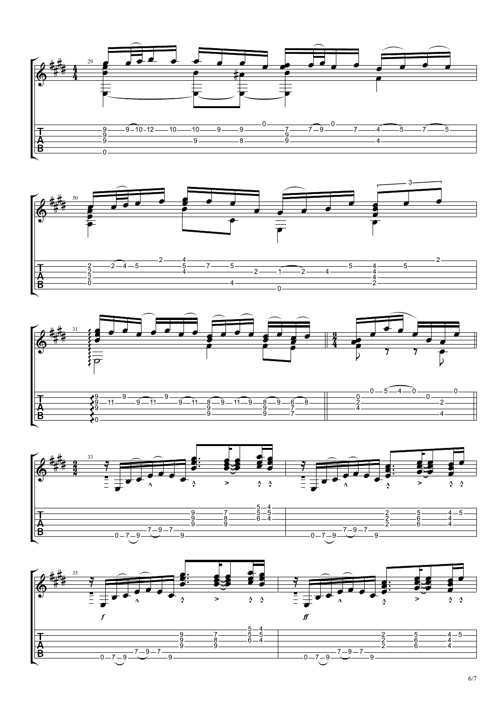![](_page_5_Figure_0.jpeg)

![](_page_5_Figure_1.jpeg)

![](_page_5_Figure_2.jpeg)

![](_page_5_Figure_3.jpeg)

![](_page_5_Figure_4.jpeg)